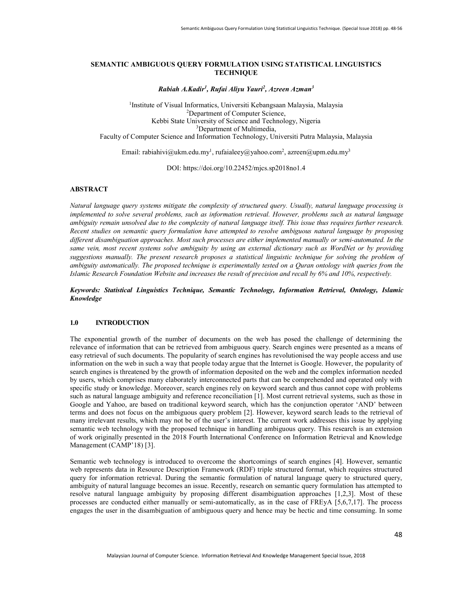# SEMANTIC AMBIGUOUS QUERY FORMULATION USING STATISTICAL LINGUISTICS **TECHNIQUE**

Rabiah A.Kadir<sup>1</sup>, Rufai Aliyu Yauri<sup>2</sup>, Azreen Azman<sup>3</sup>

<sup>1</sup>Institute of Visual Informatics, Universiti Kebangsaan Malaysia, Malaysia <sup>2</sup>Department of Computer Science, Kebbi State University of Science and Technology, Nigeria <sup>3</sup>Department of Multimedia, Faculty of Computer Science and Information Technology, Universiti Putra Malaysia, Malaysia

Email: rabiahivi@ukm.edu.my<sup>1</sup>, rufaialeey@yahoo.com<sup>2</sup>, azreen@upm.edu.my<sup>3</sup>

DOI: https://doi.org/10.22452/mjcs.sp2018no1.4

### ABSTRACT

Natural language query systems mitigate the complexity of structured query. Usually, natural language processing is implemented to solve several problems, such as information retrieval. However, problems such as natural language ambiguity remain unsolved due to the complexity of natural language itself. This issue thus requires further research. Recent studies on semantic query formulation have attempted to resolve ambiguous natural language by proposing different disambiguation approaches. Most such processes are either implemented manually or semi-automated. In the same vein, most recent systems solve ambiguity by using an external dictionary such as WordNet or by providing suggestions manually. The present research proposes a statistical linguistic technique for solving the problem of ambiguity automatically. The proposed technique is experimentally tested on a Quran ontology with queries from the Islamic Research Foundation Website and increases the result of precision and recall by 6% and 10%, respectively.

### Keywords: Statistical Linguistics Technique, Semantic Technology, Information Retrieval, Ontology, Islamic Knowledge

### 1.0 INTRODUCTION

The exponential growth of the number of documents on the web has posed the challenge of determining the relevance of information that can be retrieved from ambiguous query. Search engines were presented as a means of easy retrieval of such documents. The popularity of search engines has revolutionised the way people access and use information on the web in such a way that people today argue that the Internet is Google. However, the popularity of search engines is threatened by the growth of information deposited on the web and the complex information needed by users, which comprises many elaborately interconnected parts that can be comprehended and operated only with specific study or knowledge. Moreover, search engines rely on keyword search and thus cannot cope with problems such as natural language ambiguity and reference reconciliation [1]. Most current retrieval systems, such as those in Google and Yahoo, are based on traditional keyword search, which has the conjunction operator 'AND' between terms and does not focus on the ambiguous query problem [2]. However, keyword search leads to the retrieval of many irrelevant results, which may not be of the user's interest. The current work addresses this issue by applying semantic web technology with the proposed technique in handling ambiguous query. This research is an extension of work originally presented in the 2018 Fourth International Conference on Information Retrieval and Knowledge Management (CAMP'18) [3].

Semantic web technology is introduced to overcome the shortcomings of search engines [4]. However, semantic web represents data in Resource Description Framework (RDF) triple structured format, which requires structured query for information retrieval. During the semantic formulation of natural language query to structured query, ambiguity of natural language becomes an issue. Recently, research on semantic query formulation has attempted to resolve natural language ambiguity by proposing different disambiguation approaches [1,2,3]. Most of these processes are conducted either manually or semi-automatically, as in the case of FREyA [5,6,7,17]. The process engages the user in the disambiguation of ambiguous query and hence may be hectic and time consuming. In some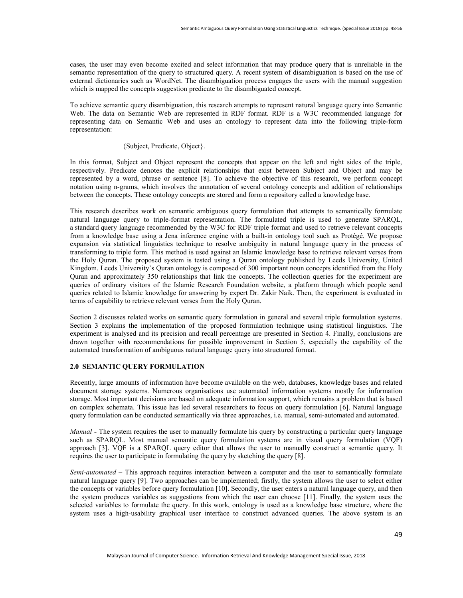cases, the user may even become excited and select information that may produce query that is unreliable in the semantic representation of the query to structured query. A recent system of disambiguation is based on the use of external dictionaries such as WordNet. The disambiguation process engages the users with the manual suggestion which is mapped the concepts suggestion predicate to the disambiguated concept.

To achieve semantic query disambiguation, this research attempts to represent natural language query into Semantic Web. The data on Semantic Web are represented in RDF format. RDF is a W3C recommended language for representing data on Semantic Web and uses an ontology to represent data into the following triple-form representation:

# {Subject, Predicate, Object}.

In this format, Subject and Object represent the concepts that appear on the left and right sides of the triple, respectively. Predicate denotes the explicit relationships that exist between Subject and Object and may be represented by a word, phrase or sentence [8]. To achieve the objective of this research, we perform concept notation using n-grams, which involves the annotation of several ontology concepts and addition of relationships between the concepts. These ontology concepts are stored and form a repository called a knowledge base.

This research describes work on semantic ambiguous query formulation that attempts to semantically formulate natural language query to triple-format representation. The formulated triple is used to generate SPARQL, a standard query language recommended by the W3C for RDF triple format and used to retrieve relevant concepts from a knowledge base using a Jena inference engine with a built-in ontology tool such as Protégé. We propose expansion via statistical linguistics technique to resolve ambiguity in natural language query in the process of transforming to triple form. This method is used against an Islamic knowledge base to retrieve relevant verses from the Holy Quran. The proposed system is tested using a Quran ontology published by Leeds University, United Kingdom. Leeds University's Quran ontology is composed of 300 important noun concepts identified from the Holy Quran and approximately 350 relationships that link the concepts. The collection queries for the experiment are queries of ordinary visitors of the Islamic Research Foundation website, a platform through which people send queries related to Islamic knowledge for answering by expert Dr. Zakir Naik. Then, the experiment is evaluated in terms of capability to retrieve relevant verses from the Holy Quran.

Section 2 discusses related works on semantic query formulation in general and several triple formulation systems. Section 3 explains the implementation of the proposed formulation technique using statistical linguistics. The experiment is analysed and its precision and recall percentage are presented in Section 4. Finally, conclusions are drawn together with recommendations for possible improvement in Section 5, especially the capability of the automated transformation of ambiguous natural language query into structured format.

### 2.0 SEMANTIC QUERY FORMULATION

Recently, large amounts of information have become available on the web, databases, knowledge bases and related document storage systems. Numerous organisations use automated information systems mostly for information storage. Most important decisions are based on adequate information support, which remains a problem that is based on complex schemata. This issue has led several researchers to focus on query formulation [6]. Natural language query formulation can be conducted semantically via three approaches, i.e. manual, semi-automated and automated.

Manual - The system requires the user to manually formulate his query by constructing a particular query language such as SPARQL. Most manual semantic query formulation systems are in visual query formulation (VQF) approach [3]. VQF is a SPARQL query editor that allows the user to manually construct a semantic query. It requires the user to participate in formulating the query by sketching the query [8].

Semi-automated – This approach requires interaction between a computer and the user to semantically formulate natural language query [9]. Two approaches can be implemented; firstly, the system allows the user to select either the concepts or variables before query formulation [10]. Secondly, the user enters a natural language query, and then the system produces variables as suggestions from which the user can choose [11]. Finally, the system uses the selected variables to formulate the query. In this work, ontology is used as a knowledge base structure, where the system uses a high-usability graphical user interface to construct advanced queries. The above system is an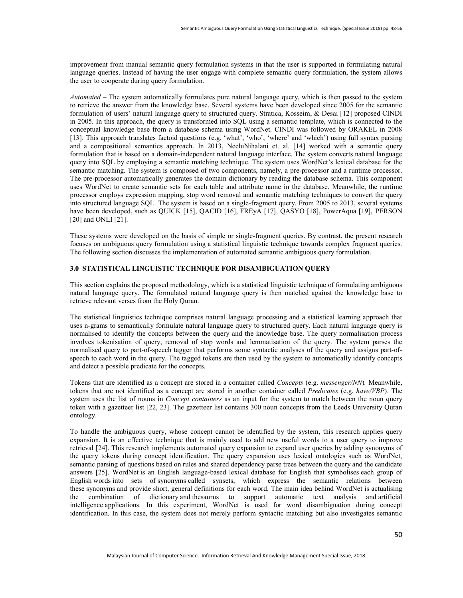improvement from manual semantic query formulation systems in that the user is supported in formulating natural language queries. Instead of having the user engage with complete semantic query formulation, the system allows the user to cooperate during query formulation.

Automated – The system automatically formulates pure natural language query, which is then passed to the system to retrieve the answer from the knowledge base. Several systems have been developed since 2005 for the semantic formulation of users' natural language query to structured query. Stratica, Kosseim, & Desai [12] proposed CINDI in 2005. In this approach, the query is transformed into SQL using a semantic template, which is connected to the conceptual knowledge base from a database schema using WordNet. CINDI was followed by ORAKEL in 2008 [13]. This approach translates factoid questions (e.g. 'what', 'who', 'where' and 'which') using full syntax parsing and a compositional semantics approach. In 2013, NeeluNihalani et. al. [14] worked with a semantic query formulation that is based on a domain-independent natural language interface. The system converts natural language query into SQL by employing a semantic matching technique. The system uses WordNet's lexical database for the semantic matching. The system is composed of two components, namely, a pre-processor and a runtime processor. The pre-processor automatically generates the domain dictionary by reading the database schema. This component uses WordNet to create semantic sets for each table and attribute name in the database. Meanwhile, the runtime processor employs expression mapping, stop word removal and semantic matching techniques to convert the query into structured language SQL. The system is based on a single-fragment query. From 2005 to 2013, several systems have been developed, such as QUICK [15], QACID [16], FREyA [17], QASYO [18], PowerAqua [19], PERSON [20] and ONLI [21].

These systems were developed on the basis of simple or single-fragment queries. By contrast, the present research focuses on ambiguous query formulation using a statistical linguistic technique towards complex fragment queries. The following section discusses the implementation of automated semantic ambiguous query formulation.

# 3.0 STATISTICAL LINGUISTIC TECHNIQUE FOR DISAMBIGUATION QUERY

This section explains the proposed methodology, which is a statistical linguistic technique of formulating ambiguous natural language query. The formulated natural language query is then matched against the knowledge base to retrieve relevant verses from the Holy Quran.

The statistical linguistics technique comprises natural language processing and a statistical learning approach that uses n-grams to semantically formulate natural language query to structured query. Each natural language query is normalised to identify the concepts between the query and the knowledge base. The query normalisation process involves tokenisation of query, removal of stop words and lemmatisation of the query. The system parses the normalised query to part-of-speech tagger that performs some syntactic analyses of the query and assigns part-ofspeech to each word in the query. The tagged tokens are then used by the system to automatically identify concepts and detect a possible predicate for the concepts.

Tokens that are identified as a concept are stored in a container called Concepts (e.g. messenger/NN). Meanwhile, tokens that are not identified as a concept are stored in another container called Predicates (e.g. have/VBP). The system uses the list of nouns in *Concept containers* as an input for the system to match between the noun query token with a gazetteer list [22, 23]. The gazetteer list contains 300 noun concepts from the Leeds University Quran ontology.

To handle the ambiguous query, whose concept cannot be identified by the system, this research applies query expansion. It is an effective technique that is mainly used to add new useful words to a user query to improve retrieval [24]. This research implements automated query expansion to expand user queries by adding synonyms of the query tokens during concept identification. The query expansion uses lexical ontologies such as WordNet, semantic parsing of questions based on rules and shared dependency parse trees between the query and the candidate answers [25]. WordNet is an English language-based lexical database for English that symbolises each group of English words into sets of synonyms called synsets, which express the semantic relations between these synonyms and provide short, general definitions for each word. The main idea behind WordNet is actualising the combination of dictionary and thesaurus to support automatic text analysis and artificial intelligence applications. In this experiment, WordNet is used for word disambiguation during concept identification. In this case, the system does not merely perform syntactic matching but also investigates semantic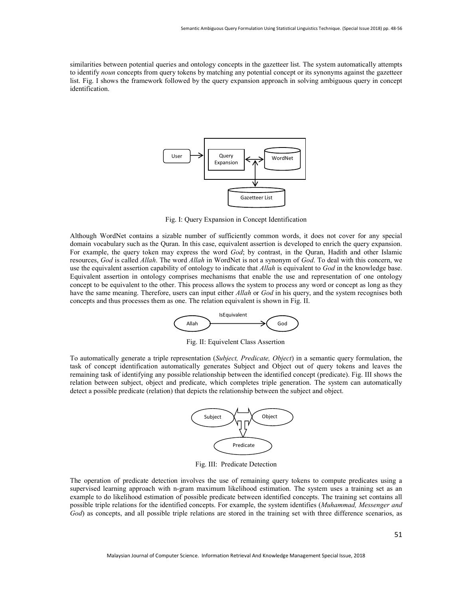similarities between potential queries and ontology concepts in the gazetteer list. The system automatically attempts to identify noun concepts from query tokens by matching any potential concept or its synonyms against the gazetteer list. Fig. I shows the framework followed by the query expansion approach in solving ambiguous query in concept identification.



Fig. I: Query Expansion in Concept Identification

Although WordNet contains a sizable number of sufficiently common words, it does not cover for any special domain vocabulary such as the Quran. In this case, equivalent assertion is developed to enrich the query expansion. For example, the query token may express the word God; by contrast, in the Quran, Hadith and other Islamic resources, God is called Allah. The word Allah in WordNet is not a synonym of God. To deal with this concern, we use the equivalent assertion capability of ontology to indicate that *Allah* is equivalent to God in the knowledge base. Equivalent assertion in ontology comprises mechanisms that enable the use and representation of one ontology concept to be equivalent to the other. This process allows the system to process any word or concept as long as they have the same meaning. Therefore, users can input either *Allah* or God in his query, and the system recognises both concepts and thus processes them as one. The relation equivalent is shown in Fig. II.



Fig. II: Equivelent Class Assertion

To automatically generate a triple representation (Subject, Predicate, Object) in a semantic query formulation, the task of concept identification automatically generates Subject and Object out of query tokens and leaves the remaining task of identifying any possible relationship between the identified concept (predicate). Fig. III shows the relation between subject, object and predicate, which completes triple generation. The system can automatically detect a possible predicate (relation) that depicts the relationship between the subject and object.



Fig. III: Predicate Detection

The operation of predicate detection involves the use of remaining query tokens to compute predicates using a supervised learning approach with n-gram maximum likelihood estimation. The system uses a training set as an example to do likelihood estimation of possible predicate between identified concepts. The training set contains all possible triple relations for the identified concepts. For example, the system identifies (Muhammad, Messenger and God) as concepts, and all possible triple relations are stored in the training set with three difference scenarios, as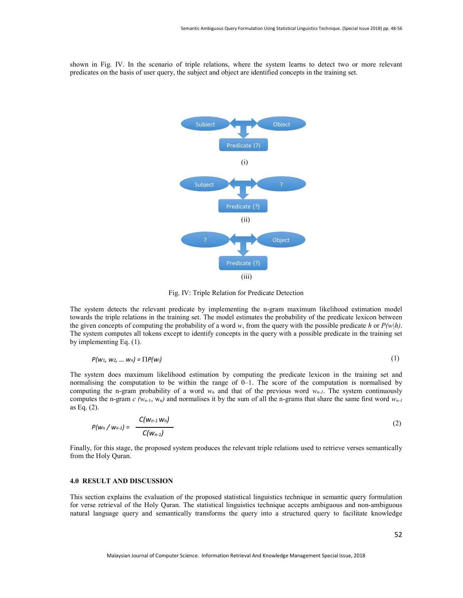shown in Fig. IV. In the scenario of triple relations, where the system learns to detect two or more relevant predicates on the basis of user query, the subject and object are identified concepts in the training set.



Fig. IV: Triple Relation for Predicate Detection

The system detects the relevant predicate by implementing the n-gram maximum likelihood estimation model towards the triple relations in the training set. The model estimates the probability of the predicate lexicon between the given concepts of computing the probability of a word w, from the query with the possible predicate h or  $P(w|h)$ . The system computes all tokens except to identify concepts in the query with a possible predicate in the training set by implementing Eq. (1).

$$
P(w_1, w_2, \dots w_n) = \prod P(w_i) \tag{1}
$$

The system does maximum likelihood estimation by computing the predicate lexicon in the training set and normalising the computation to be within the range of 0–1. The score of the computation is normalised by computing the n-gram probability of a word  $w_n$  and that of the previous word  $w_{n-1}$ . The system continuously computes the n-gram c ( $w_{n-1}$ ,  $w_n$ ) and normalises it by the sum of all the n-grams that share the same first word  $w_{n-1}$ as Eq. (2).

$$
P(w_n/w_{n-1}) = \frac{C(w_{n-1}w_n)}{C(w_{n-1})}
$$
 (2)

Finally, for this stage, the proposed system produces the relevant triple relations used to retrieve verses semantically from the Holy Quran.

#### 4.0 RESULT AND DISCUSSION

This section explains the evaluation of the proposed statistical linguistics technique in semantic query formulation for verse retrieval of the Holy Quran. The statistical linguistics technique accepts ambiguous and non-ambiguous natural language query and semantically transforms the query into a structured query to facilitate knowledge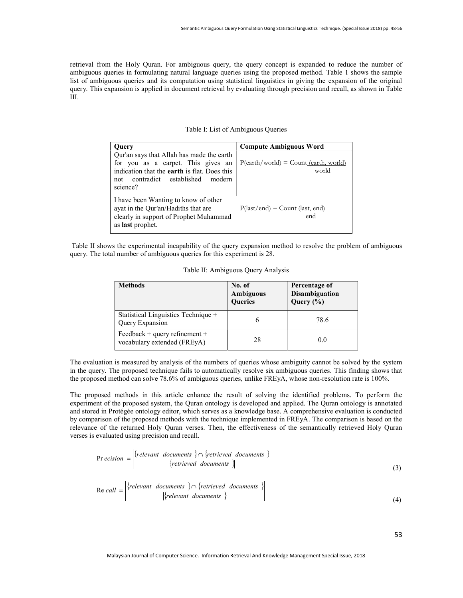retrieval from the Holy Quran. For ambiguous query, the query concept is expanded to reduce the number of ambiguous queries in formulating natural language queries using the proposed method. Table 1 shows the sample list of ambiguous queries and its computation using statistical linguistics in giving the expansion of the original query. This expansion is applied in document retrieval by evaluating through precision and recall, as shown in Table III.

| Ouerv                                                                                                                                                                                         | <b>Compute Ambiguous Word</b>                                |
|-----------------------------------------------------------------------------------------------------------------------------------------------------------------------------------------------|--------------------------------------------------------------|
| Qur'an says that Allah has made the earth<br>for you as a carpet. This gives an<br>indication that the <b>earth</b> is flat. Does this<br>contradict established<br>modern<br>not<br>science? | $P(earth/world) = Count (earth, world)$<br>world             |
| I have been Wanting to know of other<br>ayat in the Qur'an/Hadiths that are<br>clearly in support of Prophet Muhammad<br>as <b>last</b> prophet.                                              | $P(\text{last/end}) = \text{Count}(\text{last, end})$<br>end |

 Table II shows the experimental incapability of the query expansion method to resolve the problem of ambiguous query. The total number of ambiguous queries for this experiment is 28.

|  | Table II: Ambiguous Query Analysis |  |
|--|------------------------------------|--|
|  |                                    |  |

| Table II: Ambiguous Query Analysis                                                                                                                                                                                                                                                                                                                                                                                                                                                                                                                                                                                                                                                                                                                                                                                                                                                       |                                              |                                                         |  |  |  |
|------------------------------------------------------------------------------------------------------------------------------------------------------------------------------------------------------------------------------------------------------------------------------------------------------------------------------------------------------------------------------------------------------------------------------------------------------------------------------------------------------------------------------------------------------------------------------------------------------------------------------------------------------------------------------------------------------------------------------------------------------------------------------------------------------------------------------------------------------------------------------------------|----------------------------------------------|---------------------------------------------------------|--|--|--|
| <b>Methods</b>                                                                                                                                                                                                                                                                                                                                                                                                                                                                                                                                                                                                                                                                                                                                                                                                                                                                           | No. of<br><b>Ambiguous</b><br><b>Oueries</b> | Percentage of<br><b>Disambiguation</b><br>Query $(\% )$ |  |  |  |
| Statistical Linguistics Technique +<br>Query Expansion                                                                                                                                                                                                                                                                                                                                                                                                                                                                                                                                                                                                                                                                                                                                                                                                                                   | 6                                            | 78.6                                                    |  |  |  |
| Feedback + query refinement +<br>vocabulary extended (FREyA)                                                                                                                                                                                                                                                                                                                                                                                                                                                                                                                                                                                                                                                                                                                                                                                                                             | 28                                           | 0.0                                                     |  |  |  |
| ne proposed technique fails to automatically resolve six ambiguous queries. This finding shows that<br>ethod can solve 78.6% of ambiguous queries, unlike FREyA, whose non-resolution rate is 100%.<br>methods in this article enhance the result of solving the identified problems. To perform the<br>he proposed system, the Quran ontology is developed and applied. The Quran ontology is annotated<br>otégée ontology editor, which serves as a knowledge base. A comprehensive evaluation is conducted<br>of the proposed methods with the technique implemented in FREyA. The comparison is based on the<br>e returned Holy Quran verses. Then, the effectiveness of the semantically retrieved Holy Quran<br>ted using precision and recall.<br>$ion = \frac{\left\{relevant\ documents\ } \cap \left\{retrieved\ documents\ }\right\}{\left\{retrieved\ documents\ }\right\}}$ |                                              |                                                         |  |  |  |
|                                                                                                                                                                                                                                                                                                                                                                                                                                                                                                                                                                                                                                                                                                                                                                                                                                                                                          |                                              |                                                         |  |  |  |
| $l = \left  \frac{\{relevant \ documents \}}{\{relevant \ documents \}} \right $                                                                                                                                                                                                                                                                                                                                                                                                                                                                                                                                                                                                                                                                                                                                                                                                         |                                              |                                                         |  |  |  |

The evaluation is measured by analysis of the numbers of queries whose ambiguity cannot be solved by the system in the query. The proposed technique fails to automatically resolve six ambiguous queries. This finding shows that the proposed method can solve 78.6% of ambiguous queries, unlike FREyA, whose non-resolution rate is 100%.

The proposed methods in this article enhance the result of solving the identified problems. To perform the experiment of the proposed system, the Quran ontology is developed and applied. The Quran ontology is annotated and stored in Protégée ontology editor, which serves as a knowledge base. A comprehensive evaluation is conducted by comparison of the proposed methods with the technique implemented in FREyA. The comparison is based on the relevance of the returned Holy Quran verses. Then, the effectiveness of the semantically retrieved Holy Quran verses is evaluated using precision and recall. **Example 18.1**<br> **Example 18.1**<br> **Example 18.1**<br> **Example 18.1**<br> **Example 18.1**<br> **Example 18.1**<br> **Example 16.1**<br> **Example 16.1**<br> **Example 16.1**<br> **Example 16.1**<br> **Example 16.1**<br> **Example 16.1**<br> **Example 18.1**<br> **Example 18.1** 

$$
Pr\text{ ecision} = \frac{\left\{relevant\ documents\} \cap \left\{retrieved\ documents\} \right\}}{\left\{\text{retrieved documents}\right\}}\tag{3}
$$

$$
\text{Re call } = \left| \frac{\{relevant \ documents \} \cap \{retrieved \ documents \}}{\{relevant \ documents \}}
$$
\n(4)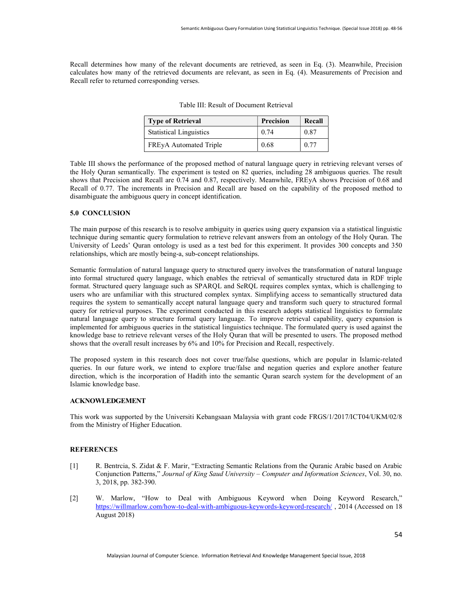Recall determines how many of the relevant documents are retrieved, as seen in Eq. (3). Meanwhile, Precision calculates how many of the retrieved documents are relevant, as seen in Eq. (4). Measurements of Precision and Recall refer to returned corresponding verses.

| <b>Type of Retrieval</b>       | Precision | Recall |
|--------------------------------|-----------|--------|
| <b>Statistical Linguistics</b> | 0.74      | 0.87   |
| FREyA Automated Triple         | 0.68      | 0.77   |

Table III: Result of Document Retrieval

Table III shows the performance of the proposed method of natural language query in retrieving relevant verses of the Holy Quran semantically. The experiment is tested on 82 queries, including 28 ambiguous queries. The result shows that Precision and Recall are 0.74 and 0.87, respectively. Meanwhile, FREyA shows Precision of 0.68 and Recall of 0.77. The increments in Precision and Recall are based on the capability of the proposed method to disambiguate the ambiguous query in concept identification.

### 5.0 CONCLUSION

The main purpose of this research is to resolve ambiguity in queries using query expansion via a statistical linguistic technique during semantic query formulation to retrieve relevant answers from an ontology of the Holy Quran. The University of Leeds' Quran ontology is used as a test bed for this experiment. It provides 300 concepts and 350 relationships, which are mostly being-a, sub-concept relationships.

Semantic formulation of natural language query to structured query involves the transformation of natural language into formal structured query language, which enables the retrieval of semantically structured data in RDF triple format. Structured query language such as SPARQL and SeRQL requires complex syntax, which is challenging to users who are unfamiliar with this structured complex syntax. Simplifying access to semantically structured data requires the system to semantically accept natural language query and transform such query to structured formal query for retrieval purposes. The experiment conducted in this research adopts statistical linguistics to formulate natural language query to structure formal query language. To improve retrieval capability, query expansion is implemented for ambiguous queries in the statistical linguistics technique. The formulated query is used against the knowledge base to retrieve relevant verses of the Holy Quran that will be presented to users. The proposed method shows that the overall result increases by 6% and 10% for Precision and Recall, respectively.

The proposed system in this research does not cover true/false questions, which are popular in Islamic-related queries. In our future work, we intend to explore true/false and negation queries and explore another feature direction, which is the incorporation of Hadith into the semantic Quran search system for the development of an Islamic knowledge base.

### ACKNOWLEDGEMENT

This work was supported by the Universiti Kebangsaan Malaysia with grant code FRGS/1/2017/ICT04/UKM/02/8 from the Ministry of Higher Education.

## **REFERENCES**

- [1] R. Bentrcia, S. Zidat & F. Marir, "Extracting Semantic Relations from the Quranic Arabic based on Arabic Conjunction Patterns," Journal of King Saud University – Computer and Information Sciences, Vol. 30, no. 3, 2018, pp. 382-390.
- [2] W. Marlow, "How to Deal with Ambiguous Keyword when Doing Keyword Research," https://willmarlow.com/how-to-deal-with-ambiguous-keywords-keyword-research/ , 2014 (Accessed on 18 August 2018)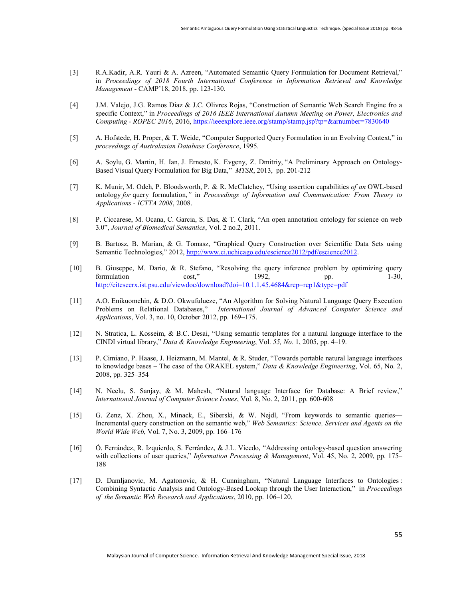- [3] R.A.Kadir, A.R. Yauri & A. Azreen, "Automated Semantic Query Formulation for Document Retrieval," in Proceedings of 2018 Fourth International Conference in Information Retrieval and Knowledge Management - CAMP'18, 2018, pp. 123-130.
- [4] J.M. Valejo, J.G. Ramos Diaz & J.C. Olivres Rojas, "Construction of Semantic Web Search Engine fro a specific Context," in Proceedings of 2016 IEEE International Autumn Meeting on Power, Electronics and Computing - ROPEC 2016, 2016, https://ieeexplore.ieee.org/stamp/stamp.jsp?tp=&arnumber=7830640
- [5] A. Hofstede, H. Proper, & T. Weide, "Computer Supported Query Formulation in an Evolving Context," in proceedings of Australasian Database Conference, 1995.
- [6] A. Soylu, G. Martin, H. Ian, J. Ernesto, K. Evgeny, Z. Dmitriy, "A Preliminary Approach on Ontology-Based Visual Query Formulation for Big Data," MTSR, 2013, pp. 201-212
- [7] K. Munir, M. Odeh, P. Bloodsworth, P. & R. McClatchey, "Using assertion capabilities of an OWL-based ontology for query formulation," in Proceedings of Information and Communication: From Theory to Applications - ICTTA 2008, 2008.
- [8] P. Ciccarese, M. Ocana, C. Garcia, S. Das, & T. Clark, "An open annotation ontology for science on web 3.0", Journal of Biomedical Semantics, Vol. 2 no.2, 2011.
- [9] B. Bartosz, B. Marian, & G. Tomasz, "Graphical Query Construction over Scientific Data Sets using Semantic Technologies," 2012, http://www.ci.uchicago.edu/escience2012/pdf/escience2012.
- [10] B. Giuseppe, M. Dario, & R. Stefano, "Resolving the query inference problem by optimizing query formulation cost," 1992, pp. 1-30, http://citeseerx.ist.psu.edu/viewdoc/download?doi=10.1.1.45.4684&rep=rep1&type=pdf
- [11] A.O. Enikuomehin, & D.O. Okwufulueze, "An Algorithm for Solving Natural Language Query Execution Problems on Relational Databases," International Journal of Advanced Computer Science and Applications, Vol. 3, no. 10, October 2012, pp. 169–175.
- [12] N. Stratica, L. Kosseim, & B.C. Desai, "Using semantic templates for a natural language interface to the CINDI virtual library," Data & Knowledge Engineering, Vol. 55, No. 1, 2005, pp. 4–19.
- [13] P. Cimiano, P. Haase, J. Heizmann, M. Mantel, & R. Studer, "Towards portable natural language interfaces to knowledge bases – The case of the ORAKEL system," Data & Knowledge Engineering, Vol. 65, No. 2, 2008, pp. 325–354
- [14] N. Neelu, S. Sanjay, & M. Mahesh, "Natural language Interface for Database: A Brief review," International Journal of Computer Science Issues, Vol. 8, No. 2, 2011, pp. 600-608
- [15] G. Zenz, X. Zhou, X., Minack, E., Siberski, & W. Nejdl, "From keywords to semantic queries— Incremental query construction on the semantic web," Web Semantics: Science, Services and Agents on the World Wide Web, Vol. 7, No. 3, 2009, pp. 166–176
- [16] Ó. Ferrández, R. Izquierdo, S. Ferrández, & J.L. Vicedo, "Addressing ontology-based question answering with collections of user queries," Information Processing & Management, Vol. 45, No. 2, 2009, pp. 175– 188
- [17] D. Damljanovic, M. Agatonovic, & H. Cunningham, "Natural Language Interfaces to Ontologies : Combining Syntactic Analysis and Ontology-Based Lookup through the User Interaction," in Proceedings of the Semantic Web Research and Applications, 2010, pp. 106–120.